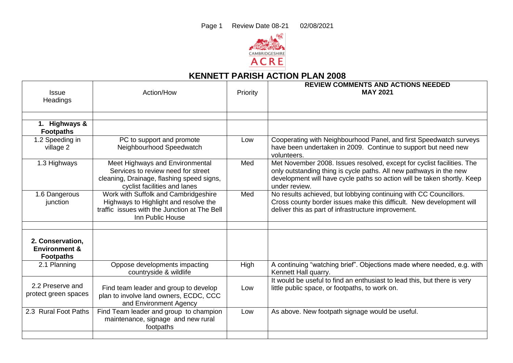

## **KENNETT PARISH ACTION PLAN 2008**

| <b>Issue</b><br>Headings                     | Action/How                                                                                                                                         | Priority | <b>REVIEW COMMENTS AND ACTIONS NEEDED</b><br><b>MAY 2021</b>                                                                                                                                                                             |
|----------------------------------------------|----------------------------------------------------------------------------------------------------------------------------------------------------|----------|------------------------------------------------------------------------------------------------------------------------------------------------------------------------------------------------------------------------------------------|
|                                              |                                                                                                                                                    |          |                                                                                                                                                                                                                                          |
| 1. Highways &<br><b>Footpaths</b>            |                                                                                                                                                    |          |                                                                                                                                                                                                                                          |
| 1.2 Speeding in<br>village 2                 | PC to support and promote<br>Neighbourhood Speedwatch                                                                                              | Low      | Cooperating with Neighbourhood Panel, and first Speedwatch surveys<br>have been undertaken in 2009. Continue to support but need new<br>volunteers.                                                                                      |
| 1.3 Highways                                 | Meet Highways and Environmental<br>Services to review need for street<br>cleaning, Drainage, flashing speed signs,<br>cyclist facilities and lanes | Med      | Met November 2008. Issues resolved, except for cyclist facilities. The<br>only outstanding thing is cycle paths. All new pathways in the new<br>development will have cycle paths so action will be taken shortly. Keep<br>under review. |
| 1.6 Dangerous<br>junction                    | Work with Suffolk and Cambridgeshire<br>Highways to Highlight and resolve the<br>traffic issues with the Junction at The Bell<br>Inn Public House  | Med      | No results achieved, but lobbying continuing with CC Councillors.<br>Cross county border issues make this difficult. New development will<br>deliver this as part of infrastructure improvement.                                         |
| 2. Conservation,                             |                                                                                                                                                    |          |                                                                                                                                                                                                                                          |
| <b>Environment &amp;</b><br><b>Footpaths</b> |                                                                                                                                                    |          |                                                                                                                                                                                                                                          |
| 2.1 Planning                                 | Oppose developments impacting<br>countryside & wildlife                                                                                            | High     | A continuing "watching brief". Objections made where needed, e.g. with<br>Kennett Hall quarry.                                                                                                                                           |
| 2.2 Preserve and<br>protect green spaces     | Find team leader and group to develop<br>plan to involve land owners, ECDC, CCC<br>and Environment Agency                                          | Low      | It would be useful to find an enthusiast to lead this, but there is very<br>little public space, or footpaths, to work on.                                                                                                               |
| 2.3 Rural Foot Paths                         | Find Team leader and group to champion<br>maintenance, signage and new rural<br>footpaths                                                          | Low      | As above. New footpath signage would be useful.                                                                                                                                                                                          |
|                                              |                                                                                                                                                    |          |                                                                                                                                                                                                                                          |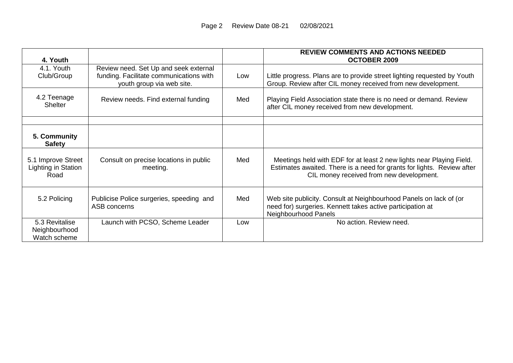| 4. Youth                                          |                                                                                                               |     | <b>REVIEW COMMENTS AND ACTIONS NEEDED</b><br><b>OCTOBER 2009</b>                                                                                                                           |
|---------------------------------------------------|---------------------------------------------------------------------------------------------------------------|-----|--------------------------------------------------------------------------------------------------------------------------------------------------------------------------------------------|
| 4.1. Youth<br>Club/Group                          | Review need. Set Up and seek external<br>funding. Facilitate communications with<br>youth group via web site. | Low | Little progress. Plans are to provide street lighting requested by Youth<br>Group. Review after CIL money received from new development.                                                   |
| 4.2 Teenage<br><b>Shelter</b>                     | Review needs. Find external funding                                                                           | Med | Playing Field Association state there is no need or demand. Review<br>after CIL money received from new development.                                                                       |
| 5. Community<br><b>Safety</b>                     |                                                                                                               |     |                                                                                                                                                                                            |
| 5.1 Improve Street<br>Lighting in Station<br>Road | Consult on precise locations in public<br>meeting.                                                            | Med | Meetings held with EDF for at least 2 new lights near Playing Field.<br>Estimates awaited. There is a need for grants for lights. Review after<br>CIL money received from new development. |
| 5.2 Policing                                      | Publicise Police surgeries, speeding and<br>ASB concerns                                                      | Med | Web site publicity. Consult at Neighbourhood Panels on lack of (or<br>need for) surgeries. Kennett takes active participation at<br>Neighbourhood Panels                                   |
| 5.3 Revitalise<br>Neighbourhood<br>Watch scheme   | Launch with PCSO, Scheme Leader                                                                               | Low | No action. Review need.                                                                                                                                                                    |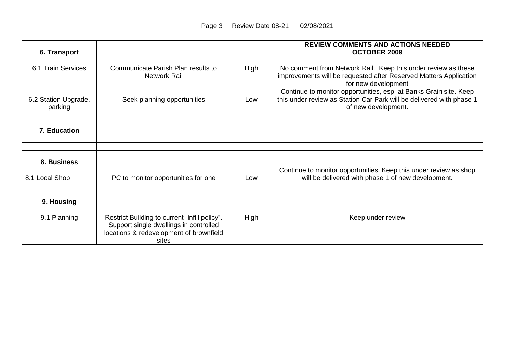| 6. Transport                    |                                                                                                                                             |      | <b>REVIEW COMMENTS AND ACTIONS NEEDED</b><br><b>OCTOBER 2009</b>                                                                                                 |
|---------------------------------|---------------------------------------------------------------------------------------------------------------------------------------------|------|------------------------------------------------------------------------------------------------------------------------------------------------------------------|
| 6.1 Train Services              | Communicate Parish Plan results to<br><b>Network Rail</b>                                                                                   | High | No comment from Network Rail. Keep this under review as these<br>improvements will be requested after Reserved Matters Application<br>for new development        |
| 6.2 Station Upgrade,<br>parking | Seek planning opportunities                                                                                                                 | Low  | Continue to monitor opportunities, esp. at Banks Grain site. Keep<br>this under review as Station Car Park will be delivered with phase 1<br>of new development. |
| 7. Education                    |                                                                                                                                             |      |                                                                                                                                                                  |
|                                 |                                                                                                                                             |      |                                                                                                                                                                  |
| 8. Business                     |                                                                                                                                             |      |                                                                                                                                                                  |
| 8.1 Local Shop                  | PC to monitor opportunities for one                                                                                                         | Low  | Continue to monitor opportunities. Keep this under review as shop<br>will be delivered with phase 1 of new development.                                          |
| 9. Housing                      |                                                                                                                                             |      |                                                                                                                                                                  |
| 9.1 Planning                    | Restrict Building to current "infill policy".<br>Support single dwellings in controlled<br>locations & redevelopment of brownfield<br>sites | High | Keep under review                                                                                                                                                |